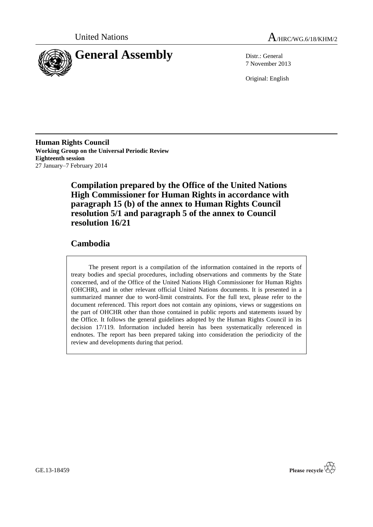



7 November 2013

Original: English

**Human Rights Council Working Group on the Universal Periodic Review Eighteenth session** 27 January–7 February 2014

> **Compilation prepared by the Office of the United Nations High Commissioner for Human Rights in accordance with paragraph 15 (b) of the annex to Human Rights Council resolution 5/1 and paragraph 5 of the annex to Council resolution 16/21**

### **Cambodia**

The present report is a compilation of the information contained in the reports of treaty bodies and special procedures, including observations and comments by the State concerned, and of the Office of the United Nations High Commissioner for Human Rights (OHCHR), and in other relevant official United Nations documents. It is presented in a summarized manner due to word-limit constraints. For the full text, please refer to the document referenced. This report does not contain any opinions, views or suggestions on the part of OHCHR other than those contained in public reports and statements issued by the Office. It follows the general guidelines adopted by the Human Rights Council in its decision 17/119. Information included herein has been systematically referenced in endnotes. The report has been prepared taking into consideration the periodicity of the review and developments during that period.

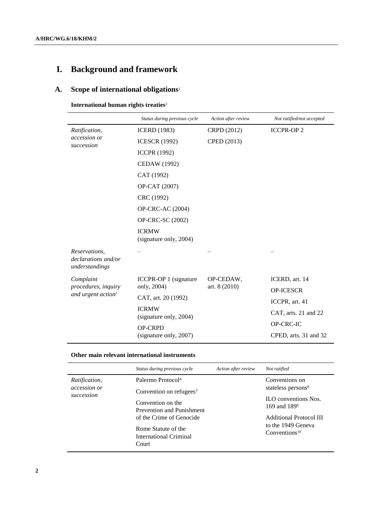# **I. Background and framework**

### **A. Scope of international obligations**<sup>1</sup>

**International human rights treaties**<sup>2</sup>

|                                                        | Status during previous cycle           | Action after review | Not ratified/not accepted |
|--------------------------------------------------------|----------------------------------------|---------------------|---------------------------|
| Ratification,                                          | <b>ICERD</b> (1983)                    | CRPD (2012)         | <b>ICCPR-OP2</b>          |
| <i>accession or</i><br>succession                      | <b>ICESCR (1992)</b>                   | CPED (2013)         |                           |
|                                                        | <b>ICCPR (1992)</b>                    |                     |                           |
|                                                        | CEDAW (1992)                           |                     |                           |
|                                                        | CAT (1992)                             |                     |                           |
|                                                        | OP-CAT (2007)                          |                     |                           |
|                                                        | CRC (1992)                             |                     |                           |
|                                                        | <b>OP-CRC-AC (2004)</b>                |                     |                           |
|                                                        | <b>OP-CRC-SC (2002)</b>                |                     |                           |
|                                                        | <b>ICRMW</b><br>(signature only, 2004) |                     |                           |
| Reservations,<br>declarations and/or<br>understandings |                                        |                     |                           |
| Complaint                                              | ICCPR-OP 1 (signature                  | OP-CEDAW,           | ICERD, art. 14            |
| procedures, inquiry<br>and urgent action <sup>3</sup>  | only, 2004)                            | art. 8 (2010)       | <b>OP-ICESCR</b>          |
|                                                        | CAT, art. 20 (1992)                    |                     | ICCPR, art. 41            |
|                                                        | <b>ICRMW</b><br>(signature only, 2004) |                     | CAT, arts. 21 and 22      |
|                                                        | <b>OP-CRPD</b>                         |                     | OP-CRC-IC                 |
|                                                        | (signature only, 2007)                 |                     | CPED, arts. 31 and 32     |

#### **Other main relevant international instruments**

|                                             | Status during previous cycle                                                       | Action after review | Not ratified                                     |
|---------------------------------------------|------------------------------------------------------------------------------------|---------------------|--------------------------------------------------|
| Ratification,<br>accession or<br>succession | Palermo Protocol <sup>4</sup><br>Convention on refugees <sup>5</sup>               |                     | Conventions on<br>stateless persons <sup>8</sup> |
|                                             | Convention on the<br><b>Prevention and Punishment</b>                              |                     | $H$ . Conventions Nos.<br>169 and $189^9$        |
|                                             | of the Crime of Genocide<br>Rome Statute of the<br>International Criminal<br>Court |                     | Additional Protocol III                          |
|                                             |                                                                                    |                     | to the 1949 Geneva<br>Conventions <sup>10</sup>  |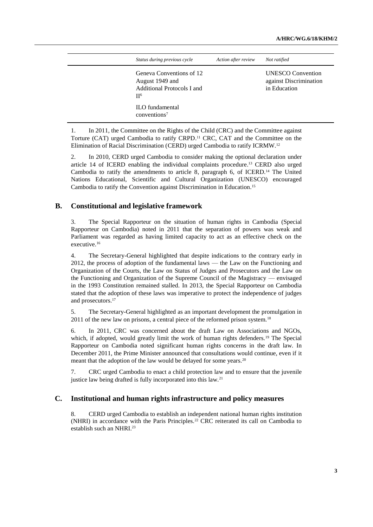| Status during previous cycle                                                         | Action after review | Not ratified                                                       |
|--------------------------------------------------------------------------------------|---------------------|--------------------------------------------------------------------|
| Geneva Conventions of 12<br>August 1949 and<br>Additional Protocols I and<br>$\Pi^6$ |                     | <b>UNESCO</b> Convention<br>against Discrimination<br>in Education |
| <b>ILO</b> fundamental<br>conventions <sup>7</sup>                                   |                     |                                                                    |

1. In 2011, the Committee on the Rights of the Child (CRC) and the Committee against Torture (CAT) urged Cambodia to ratify CRPD. <sup>11</sup> CRC, CAT and the Committee on the Elimination of Racial Discrimination (CERD) urged Cambodia to ratify ICRMW.<sup>12</sup>

2. In 2010, CERD urged Cambodia to consider making the optional declaration under article 14 of ICERD enabling the individual complaints procedure. <sup>13</sup> CERD also urged Cambodia to ratify the amendments to article 8, paragraph 6, of ICERD.<sup>14</sup> The United Nations Educational, Scientific and Cultural Organization (UNESCO) encouraged Cambodia to ratify the Convention against Discrimination in Education. 15

#### **B. Constitutional and legislative framework**

3. The Special Rapporteur on the situation of human rights in Cambodia (Special Rapporteur on Cambodia) noted in 2011 that the separation of powers was weak and Parliament was regarded as having limited capacity to act as an effective check on the executive.<sup>16</sup>

4. The Secretary-General highlighted that despite indications to the contrary early in 2012, the process of adoption of the fundamental laws — the Law on the Functioning and Organization of the Courts, the Law on Status of Judges and Prosecutors and the Law on the Functioning and Organization of the Supreme Council of the Magistracy — envisaged in the 1993 Constitution remained stalled. In 2013, the Special Rapporteur on Cambodia stated that the adoption of these laws was imperative to protect the independence of judges and prosecutors. 17

5. The Secretary-General highlighted as an important development the promulgation in 2011 of the new law on prisons, a central piece of the reformed prison system.<sup>18</sup>

6. In 2011, CRC was concerned about the draft Law on Associations and NGOs, which, if adopted, would greatly limit the work of human rights defenders.<sup>19</sup> The Special Rapporteur on Cambodia noted significant human rights concerns in the draft law. In December 2011, the Prime Minister announced that consultations would continue, even if it meant that the adoption of the law would be delayed for some years.<sup>20</sup>

7. CRC urged Cambodia to enact a child protection law and to ensure that the juvenile justice law being drafted is fully incorporated into this law.<sup>21</sup>

#### **C. Institutional and human rights infrastructure and policy measures**

8. CERD urged Cambodia to establish an independent national human rights institution (NHRI) in accordance with the Paris Principles.<sup>22</sup> CRC reiterated its call on Cambodia to establish such an NHRI. 23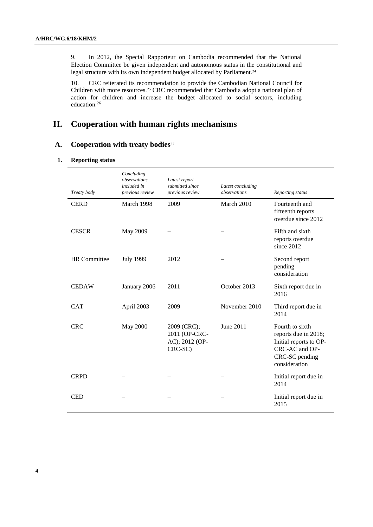9. In 2012, the Special Rapporteur on Cambodia recommended that the National Election Committee be given independent and autonomous status in the constitutional and legal structure with its own independent budget allocated by Parliament.<sup>24</sup>

10. CRC reiterated its recommendation to provide the Cambodian National Council for Children with more resources.<sup>25</sup> CRC recommended that Cambodia adopt a national plan of action for children and increase the budget allocated to social sectors, including education.<sup>26</sup>

## **II. Cooperation with human rights mechanisms**

#### **A. Cooperation with treaty bodies**<sup>27</sup>

#### **1. Reporting status**

| Treaty body         | Concluding<br>observations<br>included in<br>previous review | Latest report<br>submitted since<br>previous review       | Latest concluding<br>observations | Reporting status                                                                                                       |
|---------------------|--------------------------------------------------------------|-----------------------------------------------------------|-----------------------------------|------------------------------------------------------------------------------------------------------------------------|
| <b>CERD</b>         | March 1998                                                   | 2009                                                      | March 2010                        | Fourteenth and<br>fifteenth reports<br>overdue since 2012                                                              |
| <b>CESCR</b>        | May 2009                                                     |                                                           |                                   | Fifth and sixth<br>reports overdue<br>since 2012                                                                       |
| <b>HR</b> Committee | <b>July 1999</b>                                             | 2012                                                      |                                   | Second report<br>pending<br>consideration                                                                              |
| <b>CEDAW</b>        | January 2006                                                 | 2011                                                      | October 2013                      | Sixth report due in<br>2016                                                                                            |
| <b>CAT</b>          | April 2003                                                   | 2009                                                      | November 2010                     | Third report due in<br>2014                                                                                            |
| <b>CRC</b>          | <b>May 2000</b>                                              | 2009 (CRC);<br>2011 (OP-CRC-<br>AC); 2012 (OP-<br>CRC-SC) | June 2011                         | Fourth to sixth<br>reports due in 2018;<br>Initial reports to OP-<br>CRC-AC and OP-<br>CRC-SC pending<br>consideration |
| <b>CRPD</b>         |                                                              |                                                           |                                   | Initial report due in<br>2014                                                                                          |
| <b>CED</b>          |                                                              |                                                           |                                   | Initial report due in<br>2015                                                                                          |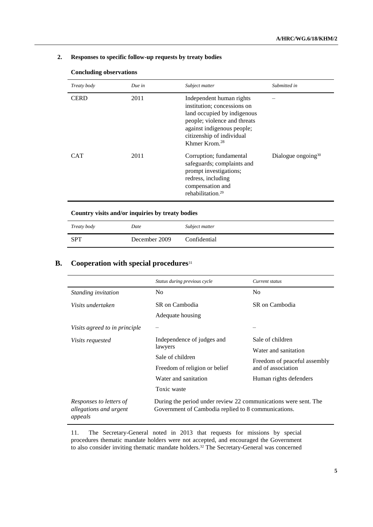#### **2. Responses to specific follow-up requests by treaty bodies**

| Treaty body | Due in | Subject matter                                                                                                                                                                                                 | Submitted in                   |
|-------------|--------|----------------------------------------------------------------------------------------------------------------------------------------------------------------------------------------------------------------|--------------------------------|
| <b>CERD</b> | 2011   | Independent human rights<br>institution; concessions on<br>land occupied by indigenous<br>people; violence and threats<br>against indigenous people;<br>citizenship of individual<br>Khmer Krom. <sup>28</sup> |                                |
| <b>CAT</b>  | 2011   | Corruption; fundamental<br>safeguards; complaints and<br>prompt investigations;<br>redress, including<br>compensation and<br>rehabilitation. <sup>29</sup>                                                     | Dialogue ongoing <sup>30</sup> |

#### **Concluding observations**

**Country visits and/or inquiries by treaty bodies**

| Treaty body | Date          | Subject matter |
|-------------|---------------|----------------|
| SPT         | December 2009 | Confidential   |

### **B. Cooperation with special procedures**<sup>31</sup>

|                                                              | Status during previous cycle                                                                                           | Current status               |
|--------------------------------------------------------------|------------------------------------------------------------------------------------------------------------------------|------------------------------|
| Standing invitation                                          | N <sub>0</sub>                                                                                                         | N <sub>0</sub>               |
| Visits undertaken                                            | SR on Cambodia                                                                                                         | SR on Cambodia               |
|                                                              | Adequate housing                                                                                                       |                              |
| Visits agreed to in principle                                |                                                                                                                        |                              |
| <i>Visits requested</i>                                      | Independence of judges and<br>lawyers                                                                                  | Sale of children             |
|                                                              |                                                                                                                        | Water and sanitation         |
|                                                              | Sale of children                                                                                                       | Freedom of peaceful assembly |
|                                                              | Freedom of religion or belief                                                                                          | and of association           |
|                                                              | Water and sanitation                                                                                                   | Human rights defenders       |
|                                                              | Toxic waste                                                                                                            |                              |
| Responses to letters of<br>allegations and urgent<br>appeals | During the period under review 22 communications were sent. The<br>Government of Cambodia replied to 8 communications. |                              |

11. The Secretary-General noted in 2013 that requests for missions by special procedures thematic mandate holders were not accepted, and encouraged the Government to also consider inviting thematic mandate holders. <sup>32</sup> The Secretary-General was concerned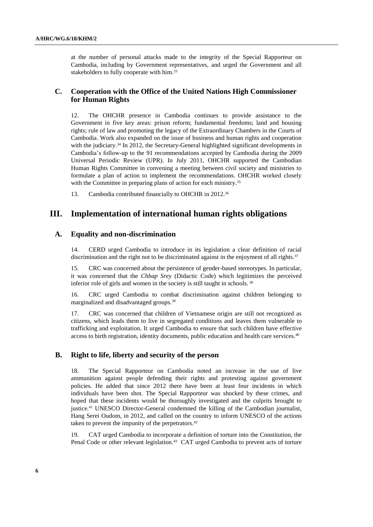at the number of personal attacks made to the integrity of the Special Rapporteur on Cambodia, including by Government representatives, and urged the Government and all stakeholders to fully cooperate with him.<sup>33</sup>

#### **C. Cooperation with the Office of the United Nations High Commissioner for Human Rights**

12. The OHCHR presence in Cambodia continues to provide assistance to the Government in five key areas: prison reform; fundamental freedoms; land and housing rights; rule of law and promoting the legacy of the Extraordinary Chambers in the Courts of Cambodia. Work also expanded on the issue of business and human rights and cooperation with the judiciary.<sup>34</sup> In 2012, the Secretary-General highlighted significant developments in Cambodia's follow-up to the 91 recommendations accepted by Cambodia during the 2009 Universal Periodic Review (UPR). In July 2011, OHCHR supported the Cambodian Human Rights Committee in convening a meeting between civil society and ministries to formulate a plan of action to implement the recommendations. OHCHR worked closely with the Committee in preparing plans of action for each ministry.<sup>35</sup>

13. Cambodia contributed financially to OHCHR in 2012.<sup>36</sup>

### **III. Implementation of international human rights obligations**

#### **A. Equality and non-discrimination**

14. CERD urged Cambodia to introduce in its legislation a clear definition of racial discrimination and the right not to be discriminated against in the enjoyment of all rights.<sup>37</sup>

15. CRC was concerned about the persistence of gender-based stereotypes. In particular, it was concerned that the *Chbap Srey* (Didactic Code) which legitimizes the perceived inferior role of girls and women in the society is still taught in schools. <sup>38</sup>

16. CRC urged Cambodia to combat discrimination against children belonging to marginalized and disadvantaged groups.<sup>39</sup>

17. CRC was concerned that children of Vietnamese origin are still not recognized as citizens, which leads them to live in segregated conditions and leaves them vulnerable to trafficking and exploitation. It urged Cambodia to ensure that such children have effective access to birth registration, identity documents, public education and health care services.<sup>40</sup>

#### **B. Right to life, liberty and security of the person**

18. The Special Rapporteur on Cambodia noted an increase in the use of live ammunition against people defending their rights and protesting against government policies. He added that since 2012 there have been at least four incidents in which individuals have been shot. The Special Rapporteur was shocked by these crimes, and hoped that these incidents would be thoroughly investigated and the culprits brought to justice.<sup>41</sup> UNESCO Director-General condemned the killing of the Cambodian journalist, Hang Serei Oudom, in 2012, and called on the country to inform UNESCO of the actions taken to prevent the impunity of the perpetrators. 42

19. CAT urged Cambodia to incorporate a definition of torture into the Constitution, the Penal Code or other relevant legislation.<sup>43</sup> CAT urged Cambodia to prevent acts of torture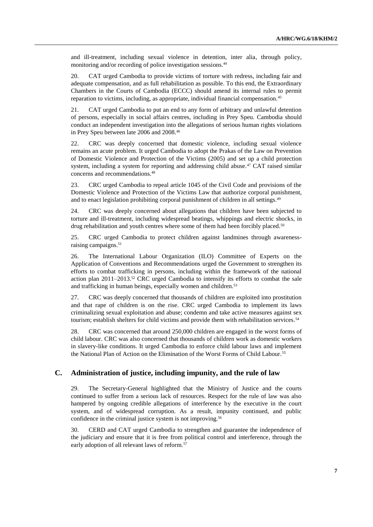and ill-treatment, including sexual violence in detention, inter alia, through policy, monitoring and/or recording of police investigation sessions.<sup>44</sup>

20. CAT urged Cambodia to provide victims of torture with redress, including fair and adequate compensation, and as full rehabilitation as possible. To this end, the Extraordinary Chambers in the Courts of Cambodia (ECCC) should amend its internal rules to permit reparation to victims, including, as appropriate, individual financial compensation.<sup>45</sup>

21. CAT urged Cambodia to put an end to any form of arbitrary and unlawful detention of persons, especially in social affairs centres, including in Prey Speu. Cambodia should conduct an independent investigation into the allegations of serious human rights violations in Prey Speu between late 2006 and 2008.<sup>46</sup>

22. CRC was deeply concerned that domestic violence, including sexual violence remains an acute problem. It urged Cambodia to adopt the Prakas of the Law on Prevention of Domestic Violence and Protection of the Victims (2005) and set up a child protection system, including a system for reporting and addressing child abuse.<sup>47</sup> CAT raised similar concerns and recommendations.<sup>48</sup>

23. CRC urged Cambodia to repeal article 1045 of the Civil Code and provisions of the Domestic Violence and Protection of the Victims Law that authorize corporal punishment, and to enact legislation prohibiting corporal punishment of children in all settings.<sup>49</sup>

24. CRC was deeply concerned about allegations that children have been subjected to torture and ill-treatment, including widespread beatings, whippings and electric shocks, in drug rehabilitation and youth centres where some of them had been forcibly placed.<sup>50</sup>

25. CRC urged Cambodia to protect children against landmines through awarenessraising campaigns.<sup>51</sup>

26. The International Labour Organization (ILO) Committee of Experts on the Application of Conventions and Recommendations urged the Government to strengthen its efforts to combat trafficking in persons, including within the framework of the national action plan  $2011-2013$ .<sup>52</sup> CRC urged Cambodia to intensify its efforts to combat the sale and trafficking in human beings, especially women and children.<sup>53</sup>

27. CRC was deeply concerned that thousands of children are exploited into prostitution and that rape of children is on the rise. CRC urged Cambodia to implement its laws criminalizing sexual exploitation and abuse; condemn and take active measures against sex tourism; establish shelters for child victims and provide them with rehabilitation services.<sup>54</sup>

28. CRC was concerned that around 250,000 children are engaged in the worst forms of child labour. CRC was also concerned that thousands of children work as domestic workers in slavery-like conditions. It urged Cambodia to enforce child labour laws and implement the National Plan of Action on the Elimination of the Worst Forms of Child Labour.<sup>55</sup>

#### **C. Administration of justice, including impunity, and the rule of law**

29. The Secretary-General highlighted that the Ministry of Justice and the courts continued to suffer from a serious lack of resources. Respect for the rule of law was also hampered by ongoing credible allegations of interference by the executive in the court system, and of widespread corruption. As a result, impunity continued, and public confidence in the criminal justice system is not improving. 56

30. CERD and CAT urged Cambodia to strengthen and guarantee the independence of the judiciary and ensure that it is free from political control and interference, through the early adoption of all relevant laws of reform.<sup>57</sup>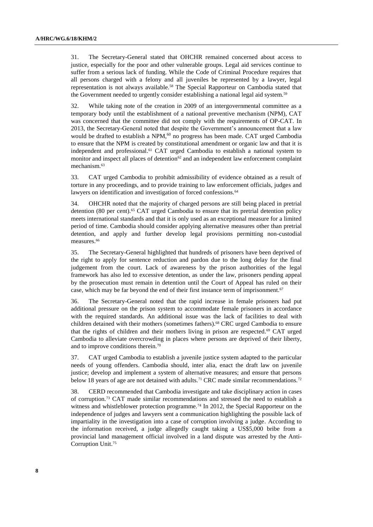31. The Secretary-General stated that OHCHR remained concerned about access to justice, especially for the poor and other vulnerable groups. Legal aid services continue to suffer from a serious lack of funding. While the Code of Criminal Procedure requires that all persons charged with a felony and all juveniles be represented by a lawyer, legal representation is not always available.<sup>58</sup> The Special Rapporteur on Cambodia stated that the Government needed to urgently consider establishing a national legal aid system.<sup>59</sup>

32. While taking note of the creation in 2009 of an intergovernmental committee as a temporary body until the establishment of a national preventive mechanism (NPM), CAT was concerned that the committee did not comply with the requirements of OP-CAT. In 2013, the Secretary-General noted that despite the Government's announcement that a law would be drafted to establish a NPM,<sup>60</sup> no progress has been made. CAT urged Cambodia to ensure that the NPM is created by constitutional amendment or organic law and that it is independent and professional.<sup>61</sup> CAT urged Cambodia to establish a national system to monitor and inspect all places of detention $62$  and an independent law enforcement complaint mechanism. 63

33. CAT urged Cambodia to prohibit admissibility of evidence obtained as a result of torture in any proceedings, and to provide training to law enforcement officials, judges and lawyers on identification and investigation of forced confessions.<sup>64</sup>

34. OHCHR noted that the majority of charged persons are still being placed in pretrial detention (80 per cent).<sup>65</sup> CAT urged Cambodia to ensure that its pretrial detention policy meets international standards and that it is only used as an exceptional measure for a limited period of time. Cambodia should consider applying alternative measures other than pretrial detention, and apply and further develop legal provisions permitting non-custodial measures.<sup>66</sup>

35. The Secretary-General highlighted that hundreds of prisoners have been deprived of the right to apply for sentence reduction and pardon due to the long delay for the final judgement from the court. Lack of awareness by the prison authorities of the legal framework has also led to excessive detention, as under the law, prisoners pending appeal by the prosecution must remain in detention until the Court of Appeal has ruled on their case, which may be far beyond the end of their first instance term of imprisonment.<sup>67</sup>

36. The Secretary-General noted that the rapid increase in female prisoners had put additional pressure on the prison system to accommodate female prisoners in accordance with the required standards. An additional issue was the lack of facilities to deal with children detained with their mothers (sometimes fathers).<sup>68</sup> CRC urged Cambodia to ensure that the rights of children and their mothers living in prison are respected.<sup>69</sup> CAT urged Cambodia to alleviate overcrowding in places where persons are deprived of their liberty, and to improve conditions therein. 70

37. CAT urged Cambodia to establish a juvenile justice system adapted to the particular needs of young offenders. Cambodia should, inter alia, enact the draft law on juvenile justice; develop and implement a system of alternative measures; and ensure that persons below 18 years of age are not detained with adults.<sup>71</sup> CRC made similar recommendations.<sup>72</sup>

38. CERD recommended that Cambodia investigate and take disciplinary action in cases of corruption.<sup>73</sup> CAT made similar recommendations and stressed the need to establish a witness and whistleblower protection programme.<sup>74</sup> In 2012, the Special Rapporteur on the independence of judges and lawyers sent a communication highlighting the possible lack of impartiality in the investigation into a case of corruption involving a judge. According to the information received, a judge allegedly caught taking a US\$5,000 bribe from a provincial land management official involved in a land dispute was arrested by the Anti-Corruption Unit. 75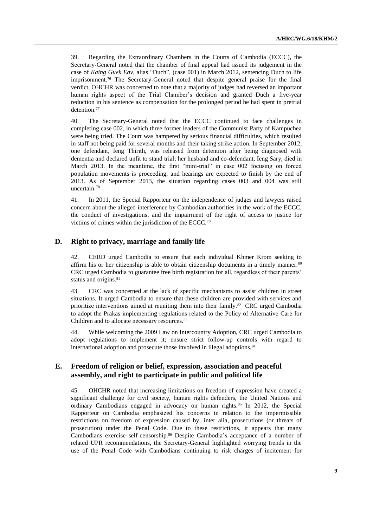39. Regarding the Extraordinary Chambers in the Courts of Cambodia (ECCC), the Secretary-General noted that the chamber of final appeal had issued its judgement in the case of *Kaing Guek Eav,* alias "Duch", (case 001) in March 2012, sentencing Duch to life imprisonment.<sup>76</sup> The Secretary-General noted that despite general praise for the final verdict, OHCHR was concerned to note that a majority of judges had reversed an important human rights aspect of the Trial Chamber's decision and granted Duch a five-year reduction in his sentence as compensation for the prolonged period he had spent in pretrial detention.<sup>77</sup>

40. The Secretary-General noted that the ECCC continued to face challenges in completing case 002, in which three former leaders of the Communist Party of Kampuchea were being tried. The Court was hampered by serious financial difficulties, which resulted in staff not being paid for several months and their taking strike action. In September 2012, one defendant, Ieng Thirith, was released from detention after being diagnosed with dementia and declared unfit to stand trial; her husband and co-defendant, Ieng Sary, died in March 2013. In the meantime, the first "mini-trial" in case 002 focusing on forced population movements is proceeding, and hearings are expected to finish by the end of 2013. As of September 2013, the situation regarding cases 003 and 004 was still uncertain.<sup>78</sup>

41. In 2011, the Special Rapporteur on the independence of judges and lawyers raised concern about the alleged interference by Cambodian authorities in the work of the ECCC, the conduct of investigations, and the impairment of the right of access to justice for victims of crimes within the jurisdiction of the ECCC.<sup>79</sup>

#### **D. Right to privacy, marriage and family life**

42. CERD urged Cambodia to ensure that each individual Khmer Krom seeking to affirm his or her citizenship is able to obtain citizenship documents in a timely manner.<sup>80</sup> CRC urged Cambodia to guarantee free birth registration for all, regardless of their parents' status and origins.<sup>81</sup>

43. CRC was concerned at the lack of specific mechanisms to assist children in street situations. It urged Cambodia to ensure that these children are provided with services and prioritize interventions aimed at reuniting them into their family.<sup>82</sup> CRC urged Cambodia to adopt the Prakas implementing regulations related to the Policy of Alternative Care for Children and to allocate necessary resources.<sup>83</sup>

44. While welcoming the 2009 Law on Intercountry Adoption, CRC urged Cambodia to adopt regulations to implement it; ensure strict follow-up controls with regard to international adoption and prosecute those involved in illegal adoptions.<sup>84</sup>

#### **E. Freedom of religion or belief, expression, association and peaceful assembly, and right to participate in public and political life**

45. OHCHR noted that increasing limitations on freedom of expression have created a significant challenge for civil society, human rights defenders, the United Nations and ordinary Cambodians engaged in advocacy on human rights.<sup>85</sup> In 2012, the Special Rapporteur on Cambodia emphasized his concerns in relation to the impermissible restrictions on freedom of expression caused by, inter alia, prosecutions (or threats of prosecution) under the Penal Code. Due to these restrictions, it appears that many Cambodians exercise self-censorship.<sup>86</sup> Despite Cambodia's acceptance of a number of related UPR recommendations, the Secretary-General highlighted worrying trends in the use of the Penal Code with Cambodians continuing to risk charges of incitement for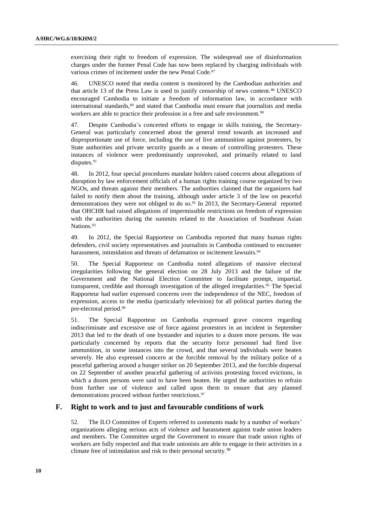exercising their right to freedom of expression. The widespread use of disinformation charges under the former Penal Code has now been replaced by charging individuals with various crimes of incitement under the new Penal Code. 87

46. UNESCO noted that media content is monitored by the Cambodian authorities and that article 13 of the Press Law is used to justify censorship of news content.<sup>88</sup> UNESCO encouraged Cambodia to initiate a freedom of information law, in accordance with international standards, <sup>89</sup> and stated that Cambodia must ensure that journalists and media workers are able to practice their profession in a free and safe environment.<sup>90</sup>

47. Despite Cambodia's concerted efforts to engage in skills training, the Secretary-General was particularly concerned about the general trend towards an increased and disproportionate use of force, including the use of live ammunition against protesters, by State authorities and private security guards as a means of controlling protesters. These instances of violence were predominantly unprovoked, and primarily related to land disputes.<sup>91</sup>

48. In 2012, four special procedures mandate holders raised concern about allegations of disruption by law enforcement officials of a human rights training course organized by two NGOs, and threats against their members. The authorities claimed that the organizers had failed to notify them about the training, although under article 3 of the law on peaceful demonstrations they were not obliged to do so. <sup>92</sup> In 2013, the Secretary-General reported that OHCHR had raised allegations of impermissible restrictions on freedom of expression with the authorities during the summits related to the Association of Southeast Asian Nations.<sup>93</sup>

49. In 2012, the Special Rapporteur on Cambodia reported that many human rights defenders, civil society representatives and journalists in Cambodia continued to encounter harassment, intimidation and threats of defamation or incitement lawsuits.<sup>94</sup>

50. The Special Rapporteur on Cambodia noted allegations of massive electoral irregularities following the general election on 28 July 2013 and the failure of the Government and the National Election Committee to facilitate prompt, impartial, transparent, credible and thorough investigation of the alleged irregularities. <sup>95</sup> The Special Rapporteur had earlier expressed concerns over the independence of the NEC, freedom of expression, access to the media (particularly television) for all political parties during the pre-electoral period. 96

51. The Special Rapporteur on Cambodia expressed grave concern regarding indiscriminate and excessive use of force against protestors in an incident in September 2013 that led to the death of one bystander and injuries to a dozen more persons. He was particularly concerned by reports that the security force personnel had fired live ammunition, in some instances into the crowd, and that several individuals were beaten severely. He also expressed concern at the forcible removal by the military police of a peaceful gathering around a hunger striker on 20 September 2013, and the forcible dispersal on 22 September of another peaceful gathering of activists protesting forced evictions, in which a dozen persons were said to have been beaten. He urged the authorities to refrain from further use of violence and called upon them to ensure that any planned demonstrations proceed without further restrictions.<sup>97</sup>

#### **F. Right to work and to just and favourable conditions of work**

52. The ILO Committee of Experts referred to comments made by a number of workers' organizations alleging serious acts of violence and harassment against trade union leaders and members. The Committee urged the Government to ensure that trade union rights of workers are fully respected and that trade unionists are able to engage in their activities in a climate free of intimidation and risk to their personal security.98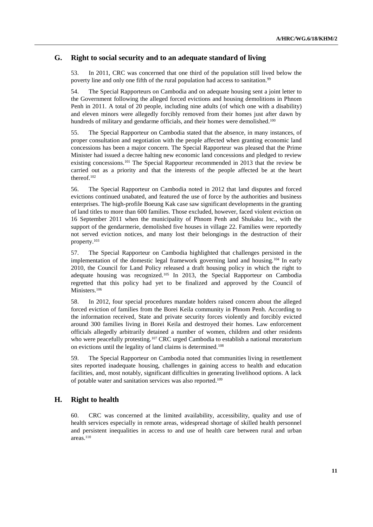#### **G. Right to social security and to an adequate standard of living**

53. In 2011, CRC was concerned that one third of the population still lived below the poverty line and only one fifth of the rural population had access to sanitation.<sup>99</sup>

54. The Special Rapporteurs on Cambodia and on adequate housing sent a joint letter to the Government following the alleged forced evictions and housing demolitions in Phnom Penh in 2011. A total of 20 people, including nine adults (of which one with a disability) and eleven minors were allegedly forcibly removed from their homes just after dawn by hundreds of military and gendarme officials, and their homes were demolished.<sup>100</sup>

55. The Special Rapporteur on Cambodia stated that the absence, in many instances, of proper consultation and negotiation with the people affected when granting economic land concessions has been a major concern. The Special Rapporteur was pleased that the Prime Minister had issued a decree halting new economic land concessions and pledged to review existing concessions.<sup>101</sup> The Special Rapporteur recommended in 2013 that the review be carried out as a priority and that the interests of the people affected be at the heart thereof. 102

56. The Special Rapporteur on Cambodia noted in 2012 that land disputes and forced evictions continued unabated, and featured the use of force by the authorities and business enterprises. The high-profile Boeung Kak case saw significant developments in the granting of land titles to more than 600 families. Those excluded, however, faced violent eviction on 16 September 2011 when the municipality of Phnom Penh and Shukaku Inc., with the support of the gendarmerie, demolished five houses in village 22. Families were reportedly not served eviction notices, and many lost their belongings in the destruction of their property.<sup>103</sup>

57. The Special Rapporteur on Cambodia highlighted that challenges persisted in the implementation of the domestic legal framework governing land and housing.<sup>104</sup> In early 2010, the Council for Land Policy released a draft housing policy in which the right to adequate housing was recognized.<sup>105</sup> In 2013, the Special Rapporteur on Cambodia regretted that this policy had yet to be finalized and approved by the Council of Ministers.<sup>106</sup>

58. In 2012, four special procedures mandate holders raised concern about the alleged forced eviction of families from the Borei Keila community in Phnom Penh. According to the information received, State and private security forces violently and forcibly evicted around 300 families living in Borei Keila and destroyed their homes. Law enforcement officials allegedly arbitrarily detained a number of women, children and other residents who were peacefully protesting.<sup>107</sup> CRC urged Cambodia to establish a national moratorium on evictions until the legality of land claims is determined.<sup>108</sup>

59. The Special Rapporteur on Cambodia noted that communities living in resettlement sites reported inadequate housing, challenges in gaining access to health and education facilities, and, most notably, significant difficulties in generating livelihood options. A lack of potable water and sanitation services was also reported.<sup>109</sup>

#### **H. Right to health**

60. CRC was concerned at the limited availability, accessibility, quality and use of health services especially in remote areas, widespread shortage of skilled health personnel and persistent inequalities in access to and use of health care between rural and urban areas.<sup>110</sup>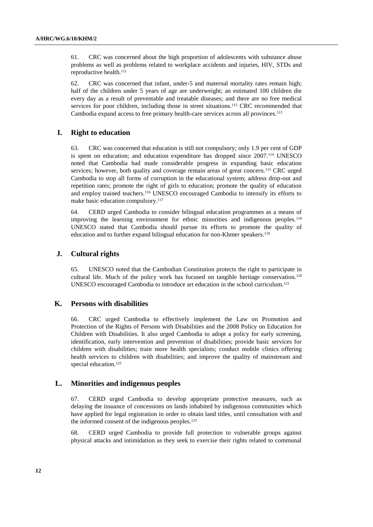61. CRC was concerned about the high proportion of adolescents with substance abuse problems as well as problems related to workplace accidents and injuries, HIV, STDs and reproductive health.<sup>111</sup>

62. CRC was concerned that infant, under-5 and maternal mortality rates remain high; half of the children under 5 years of age are underweight; an estimated 100 children die every day as a result of preventable and treatable diseases; and there are no free medical services for poor children, including those in street situations.<sup>112</sup> CRC recommended that Cambodia expand access to free primary health-care services across all provinces.<sup>113</sup>

#### **I. Right to education**

63. CRC was concerned that education is still not compulsory; only 1.9 per cent of GDP is spent on education; and education expenditure has dropped since 2007.<sup>114</sup> UNESCO noted that Cambodia had made considerable progress in expanding basic education services; however, both quality and coverage remain areas of great concern.<sup>115</sup> CRC urged Cambodia to stop all forms of corruption in the educational system; address drop-out and repetition rates; promote the right of girls to education; promote the quality of education and employ trained teachers.<sup>116</sup> UNESCO encouraged Cambodia to intensify its efforts to make basic education compulsory. 117

64. CERD urged Cambodia to consider bilingual education programmes as a means of improving the learning environment for ethnic minorities and indigenous peoples.<sup>118</sup> UNESCO stated that Cambodia should pursue its efforts to promote the quality of education and to further expand bilingual education for non-Khmer speakers.<sup>119</sup>

#### **J. Cultural rights**

65. UNESCO noted that the Cambodian Constitution protects the right to participate in cultural life. Much of the policy work has focused on tangible heritage conservation.<sup>120</sup> UNESCO encouraged Cambodia to introduce art education in the school curriculum.<sup>121</sup>

#### **K. Persons with disabilities**

66. CRC urged Cambodia to effectively implement the Law on Promotion and Protection of the Rights of Persons with Disabilities and the 2008 Policy on Education for Children with Disabilities. It also urged Cambodia to adopt a policy for early screening, identification, early intervention and prevention of disabilities; provide basic services for children with disabilities; train more health specialists; conduct mobile clinics offering health services to children with disabilities; and improve the quality of mainstream and special education.<sup>122</sup>

#### **L. Minorities and indigenous peoples**

67. CERD urged Cambodia to develop appropriate protective measures, such as delaying the issuance of concessions on lands inhabited by indigenous communities which have applied for legal registration in order to obtain land titles, until consultation with and the informed consent of the indigenous peoples.<sup>123</sup>

68. CERD urged Cambodia to provide full protection to vulnerable groups against physical attacks and intimidation as they seek to exercise their rights related to communal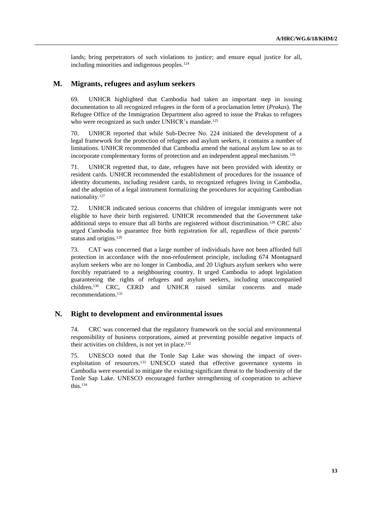lands; bring perpetrators of such violations to justice; and ensure equal justice for all, including minorities and indigenous peoples.<sup>124</sup>

#### **M. Migrants, refugees and asylum seekers**

69. UNHCR highlighted that Cambodia had taken an important step in issuing documentation to all recognized refugees in the form of a proclamation letter (*Prakas*). The Refugee Office of the Immigration Department also agreed to issue the Prakas to refugees who were recognized as such under UNHCR's mandate.<sup>125</sup>

70. UNHCR reported that while Sub-Decree No. 224 initiated the development of a legal framework for the protection of refugees and asylum seekers, it contains a number of limitations. UNHCR recommended that Cambodia amend the national asylum law so as to incorporate complementary forms of protection and an independent appeal mechanism.<sup>126</sup>

71. UNHCR regretted that, to date, refugees have not been provided with identity or resident cards. UNHCR recommended the establishment of procedures for the issuance of identity documents, including resident cards, to recognized refugees living in Cambodia, and the adoption of a legal instrument formalizing the procedures for acquiring Cambodian nationality.<sup>127</sup>

72. UNHCR indicated serious concerns that children of irregular immigrants were not eligible to have their birth registered. UNHCR recommended that the Government take additional steps to ensure that all births are registered without discrimination.<sup>128</sup> CRC also urged Cambodia to guarantee free birth registration for all, regardless of their parents' status and origins.<sup>129</sup>

73. CAT was concerned that a large number of individuals have not been afforded full protection in accordance with the non-refoulement principle, including 674 Montagnard asylum seekers who are no longer in Cambodia, and 20 Uighurs asylum seekers who were forcibly repatriated to a neighbouring country. It urged Cambodia to adopt legislation guaranteeing the rights of refugees and asylum seekers, including unaccompanied children.<sup>130</sup> CRC, CERD and UNHCR raised similar concerns and made recommendations.<sup>131</sup>

#### **N. Right to development and environmental issues**

74. CRC was concerned that the regulatory framework on the social and environmental responsibility of business corporations, aimed at preventing possible negative impacts of their activities on children, is not yet in place. 132

75. UNESCO noted that the Tonle Sap Lake was showing the impact of overexploitation of resources.<sup>133</sup> UNESCO stated that effective governance systems in Cambodia were essential to mitigate the existing significant threat to the biodiversity of the Tonle Sap Lake. UNESCO encouraged further strengthening of cooperation to achieve this.134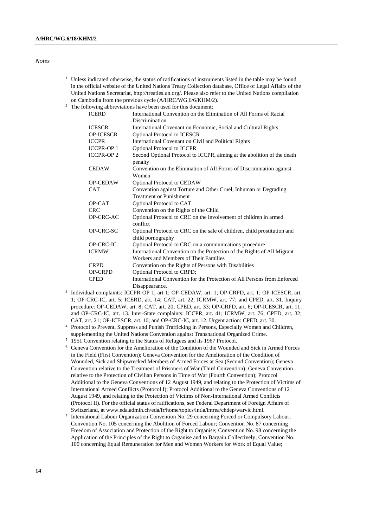#### *Notes*

- $1$  Unless indicated otherwise, the status of ratifications of instruments listed in the table may be found in the official website of the United Nations Treaty Collection database, Office of Legal Affairs of the United Nations Secretariat, [http://treaties.un.org/.](http://treaties.un.org/) Please also refer to the United Nations compilation on Cambodia from the previous cycle (A/HRC/WG.6/6/KHM/2).
- <sup>2</sup> The following abbreviations have been used for this document:

| <b>ICERD</b>      | International Convention on the Elimination of All Forms of Racial                            |
|-------------------|-----------------------------------------------------------------------------------------------|
|                   | Discrimination                                                                                |
| <b>ICESCR</b>     | International Covenant on Economic, Social and Cultural Rights                                |
| <b>OP-ICESCR</b>  | <b>Optional Protocol to ICESCR</b>                                                            |
| <b>ICCPR</b>      | International Covenant on Civil and Political Rights                                          |
| <b>ICCPR-OP 1</b> | <b>Optional Protocol to ICCPR</b>                                                             |
| <b>ICCPR-OP2</b>  | Second Optional Protocol to ICCPR, aiming at the abolition of the death<br>penalty            |
| <b>CEDAW</b>      | Convention on the Elimination of All Forms of Discrimination against<br>Women                 |
| <b>OP-CEDAW</b>   | Optional Protocol to CEDAW                                                                    |
| <b>CAT</b>        | Convention against Torture and Other Cruel, Inhuman or Degrading                              |
|                   | <b>Treatment or Punishment</b>                                                                |
| OP-CAT            | Optional Protocol to CAT                                                                      |
| <b>CRC</b>        | Convention on the Rights of the Child                                                         |
| OP-CRC-AC         | Optional Protocol to CRC on the involvement of children in armed<br>conflict                  |
| OP-CRC-SC         | Optional Protocol to CRC on the sale of children, child prostitution and<br>child pornography |
| OP-CRC-IC         | Optional Protocol to CRC on a communications procedure                                        |
| <b>ICRMW</b>      | International Convention on the Protection of the Rights of All Migrant                       |
|                   | Workers and Members of Their Families                                                         |
| <b>CRPD</b>       | Convention on the Rights of Persons with Disabilities                                         |
| <b>OP-CRPD</b>    | Optional Protocol to CRPD;                                                                    |
| <b>CPED</b>       | International Convention for the Protection of All Persons from Enforced                      |
|                   | Disannearance.                                                                                |

- Disappearance. 3 Individual complaints: ICCPR-OP 1, art 1; OP-CEDAW, art. 1; OP-CRPD, art. 1; OP-ICESCR, art. 1; OP-CRC-IC, art. 5; ICERD, art. 14; CAT, art. 22; ICRMW, art. 77; and CPED, art. 31. Inquiry procedure: OP-CEDAW, art. 8; CAT, art. 20; CPED, art. 33; OP-CRPD, art. 6; OP-ICESCR, art. 11; and OP-CRC-IC, art. 13. Inter-State complaints: ICCPR, art. 41; ICRMW, art. 76; CPED, art. 32; CAT, art. 21; OP-ICESCR, art. 10; and OP-CRC-IC, art. 12. Urgent action: CPED, art. 30.
- <sup>4</sup> Protocol to Prevent, Suppress and Punish Trafficking in Persons, Especially Women and Children, supplementing the United Nations Convention against Transnational Organized Crime.
- <sup>5</sup> 1951 Convention relating to the Status of Refugees and its 1967 Protocol.
- <sup>6</sup> Geneva Convention for the Amelioration of the Condition of the Wounded and Sick in Armed Forces in the Field (First Convention); Geneva Convention for the Amelioration of the Condition of Wounded, Sick and Shipwrecked Members of Armed Forces at Sea (Second Convention); Geneva Convention relative to the Treatment of Prisoners of War (Third Convention); Geneva Convention relative to the Protection of Civilian Persons in Time of War (Fourth Convention); Protocol Additional to the Geneva Conventions of 12 August 1949, and relating to the Protection of Victims of International Armed Conflicts (Protocol I); Protocol Additional to the Geneva Conventions of 12 August 1949, and relating to the Protection of Victims of Non-International Armed Conflicts (Protocol II). For the official status of ratifications, see Federal Department of Foreign Affairs of Switzerland, at www.eda.admin.ch/eda/fr/home/topics/intla/intrea/chdep/warvic.html.
- 7 International Labour Organization Convention No. 29 concerning Forced or Compulsory Labour; Convention No. 105 concerning the Abolition of Forced Labour; Convention No. 87 concerning Freedom of Association and Protection of the Right to Organise; Convention No. 98 concerning the Application of the Principles of the Right to Organise and to Bargain Collectively; Convention No. 100 concerning Equal Remuneration for Men and Women Workers for Work of Equal Value;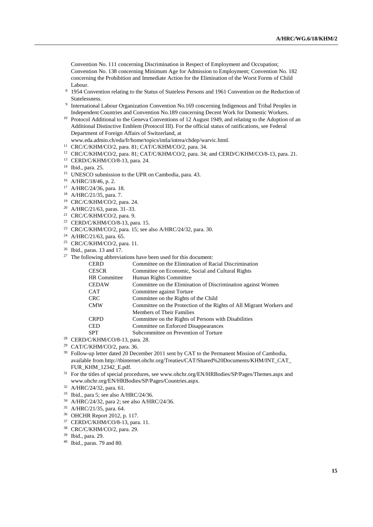Convention No. 111 concerning Discrimination in Respect of Employment and Occupation; Convention No. 138 concerning Minimum Age for Admission to Employment; Convention No. 182 concerning the Prohibition and Immediate Action for the Elimination of the Worst Forms of Child Labour.

- <sup>8</sup> 1954 Convention relating to the Status of Stateless Persons and 1961 Convention on the Reduction of Statelessness.
- 9 International Labour Organization Convention No.169 concerning Indigenous and Tribal Peoples in Independent Countries and Convention No.189 concerning Decent Work for Domestic Workers.
- <sup>10</sup> Protocol Additional to the Geneva Conventions of 12 August 1949, and relating to the Adoption of an Additional Distinctive Emblem (Protocol III). For the official status of ratifications, see Federal Department of Foreign Affairs of Switzerland, at

www.eda.admin.ch/eda/fr/home/topics/intla/intrea/chdep/warvic.html.

- <sup>11</sup> CRC/C/KHM/CO/2, para. 81; CAT/C/KHM/CO/2, para. 34.
- <sup>12</sup> CRC/C/KHM/CO/2, para. 81; CAT/C/KHM/CO/2, para. 34; and CERD/C/KHM/CO/8-13, para. 21.
- <sup>13</sup> CERD/C/KHM/CO/8-13, para. 24.
- <sup>14</sup> Ibid., para. 25.
- <sup>15</sup> UNESCO submission to the UPR on Cambodia, para. 43.
- <sup>16</sup> A/HRC/18/46, p. 2.
- <sup>17</sup> A/HRC/24/36, para. 18.
- <sup>18</sup> A/HRC/21/35, para. 7.
- <sup>19</sup> CRC/C/KHM/CO/2, para. 24.
- <sup>20</sup> A/HRC/21/63, paras. 31–33.
- <sup>21</sup> CRC/C/KHM/CO/2, para. 9.
- <sup>22</sup> CERD/C/KHM/CO/8-13, para. 15.
- <sup>23</sup> CRC/C/KHM/CO/2, para. 15; see also A/HRC/24/32, para. 30.
- <sup>24</sup> A/HRC/21/63, para. 65.
- <sup>25</sup> CRC/C/KHM/CO/2, para. 11.
- <sup>26</sup> Ibid., paras. 13 and 17.
- $27$  The following abbreviations have been used for this document:

| <b>CERD</b>         | Committee on the Elimination of Racial Discrimination                |
|---------------------|----------------------------------------------------------------------|
| <b>CESCR</b>        | Committee on Economic, Social and Cultural Rights                    |
| <b>HR</b> Committee | Human Rights Committee                                               |
| <b>CEDAW</b>        | Committee on the Elimination of Discrimination against Women         |
| <b>CAT</b>          | Committee against Torture                                            |
| <b>CRC</b>          | Committee on the Rights of the Child                                 |
| <b>CMW</b>          | Committee on the Protection of the Rights of All Migrant Workers and |
|                     | <b>Members of Their Families</b>                                     |
| <b>CRPD</b>         | Committee on the Rights of Persons with Disabilities                 |
| <b>CED</b>          | Committee on Enforced Disappearances                                 |
| <b>SPT</b>          | Subcommittee on Prevention of Torture                                |
|                     |                                                                      |

- <sup>28</sup> CERD/C/KHM/CO/8-13, para. 28.
- <sup>29</sup> CAT/C/KHM/CO/2, para. 36.
- <sup>30</sup> Follow-up letter dated 20 December 2011 sent by CAT to the Permanent Mission of Cambodia, available from http://tbinternet.ohchr.org/Treaties/CAT/Shared%20Documents/KHM/INT\_CAT\_ FUR\_KHM\_12342\_E.pdf.
- <sup>31</sup> For the titles of special procedures, see www.ohchr.org/EN/HRBodies/SP/Pages/Themes.aspx and www.ohchr.org/EN/HRBodies/SP/Pages/Countries.aspx.
- <sup>32</sup> A/HRC/24/32, para. 61.
- <sup>33</sup> Ibid., para 5; see also A/HRC/24/36.
- <sup>34</sup> A/HRC/24/32, para 2; see also A/HRC/24/36.
- <sup>35</sup> A/HRC/21/35, para. 64.
- <sup>36</sup> OHCHR Report 2012, p. 117.
- <sup>37</sup> CERD/C/KHM/CO/8-13, para. 11.
- <sup>38</sup> CRC/C/KHM/CO/2, para. 29.
- <sup>39</sup> Ibid., para. 29.
- <sup>40</sup> Ibid., paras. 79 and 80.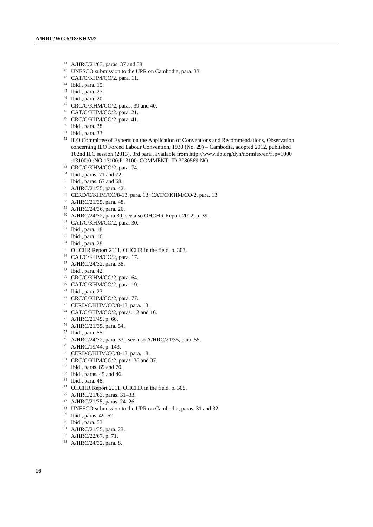- A/HRC/21/63, paras. 37 and 38.
- UNESCO submission to the UPR on Cambodia, para. 33.
- CAT/C/KHM/CO/2, para. 11.
- Ibid., para. 15.
- Ibid., para. 27.
- Ibid., para. 20.
- CRC/C/KHM/CO/2, paras. 39 and 40.
- CAT/C/KHM/CO/2, para. 21.
- CRC/C/KHM/CO/2, para. 41.
- Ibid., para. 38.
- Ibid., para. 33.
- <sup>52</sup> ILO Committee of Experts on the Application of Conventions and Recommendations, Observation concerning ILO Forced Labour Convention, 1930 (No. 29) – Cambodia, adopted 2012, published 102nd ILC session (2013), 3rd para., available from [http://www.ilo.org/dyn/normlex/en/f?p=1000](http://www.ilo.org/dyn/normlex/en/f?p=1000%0b:13100:0::NO:13100:P13100_COMMENT_ID:3080569:NO) [:13100:0::NO:13100:P13100\\_COMMENT\\_ID:3080569:NO.](http://www.ilo.org/dyn/normlex/en/f?p=1000%0b:13100:0::NO:13100:P13100_COMMENT_ID:3080569:NO)
- CRC/C/KHM/CO/2, para. 74.
- Ibid., paras. 71 and 72.
- Ibid., paras. 67 and 68.
- A/HRC/21/35, para. 42.
- CERD/C/KHM/CO/8-13, para. 13; CAT/C/KHM/CO/2, para. 13.
- A/HRC/21/35, para. 48.
- A/HRC/24/36, para. 26.
- A/HRC/24/32, para 30; see also OHCHR Report 2012, p. 39.
- CAT/C/KHM/CO/2, para. 30.
- Ibid., para. 18.
- Ibid., para. 16.
- Ibid., para. 28.
- <sup>65</sup> OHCHR Report 2011, OHCHR in the field, p. 303.
- CAT/C/KHM/CO/2, para. 17.
- A/HRC/24/32, para. 38.
- Ibid., para. 42.
- CRC/C/KHM/CO/2, para. 64.
- CAT/C/KHM/CO/2, para. 19.
- Ibid., para. 23.
- CRC/C/KHM/CO/2, para. 77.
- CERD/C/KHM/CO/8-13, para. 13.
- CAT/C/KHM/CO/2, paras. 12 and 16.
- A/HRC/21/49, p. 66.
- A/HRC/21/35, para. 54.
- Ibid., para. 55.
- A/HRC/24/32, para. 33 ; see also A/HRC/21/35, para. 55.
- A/HRC/19/44, p. 143.
- CERD/C/KHM/CO/8-13, para. 18.
- CRC/C/KHM/CO/2, paras. 36 and 37.
- Ibid., paras. 69 and 70.
- Ibid., paras. 45 and 46.
- Ibid., para. 48.
- 85 OHCHR Report 2011, OHCHR in the field, p. 305.
- A/HRC/21/63, paras. 31–33.
- A/HRC/21/35, paras. 24–26.
- 88 UNESCO submission to the UPR on Cambodia, paras. 31 and 32.
- Ibid., paras. 49–52.
- Ibid., para. 53.
- A/HRC/21/35, para. 23.
- A/HRC/22/67, p. 71.
- A/HRC/24/32, para. 8.